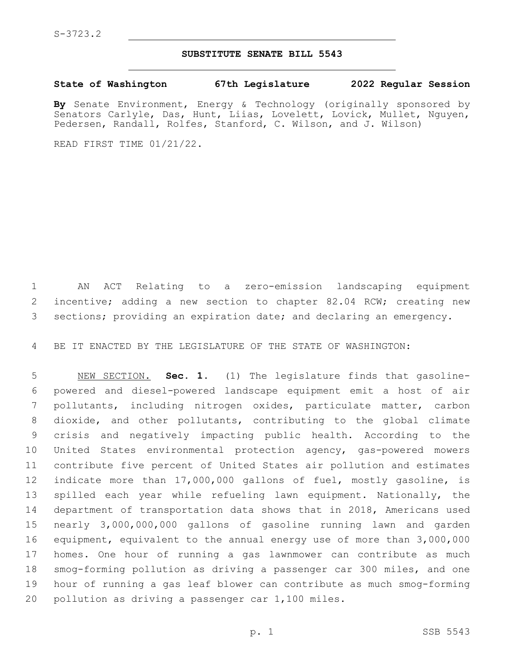## **SUBSTITUTE SENATE BILL 5543**

## **State of Washington 67th Legislature 2022 Regular Session**

**By** Senate Environment, Energy & Technology (originally sponsored by Senators Carlyle, Das, Hunt, Liias, Lovelett, Lovick, Mullet, Nguyen, Pedersen, Randall, Rolfes, Stanford, C. Wilson, and J. Wilson)

READ FIRST TIME 01/21/22.

 AN ACT Relating to a zero-emission landscaping equipment incentive; adding a new section to chapter 82.04 RCW; creating new sections; providing an expiration date; and declaring an emergency.

BE IT ENACTED BY THE LEGISLATURE OF THE STATE OF WASHINGTON:

 NEW SECTION. **Sec. 1.** (1) The legislature finds that gasoline- powered and diesel-powered landscape equipment emit a host of air pollutants, including nitrogen oxides, particulate matter, carbon dioxide, and other pollutants, contributing to the global climate crisis and negatively impacting public health. According to the United States environmental protection agency, gas-powered mowers contribute five percent of United States air pollution and estimates indicate more than 17,000,000 gallons of fuel, mostly gasoline, is spilled each year while refueling lawn equipment. Nationally, the department of transportation data shows that in 2018, Americans used nearly 3,000,000,000 gallons of gasoline running lawn and garden equipment, equivalent to the annual energy use of more than 3,000,000 homes. One hour of running a gas lawnmower can contribute as much smog-forming pollution as driving a passenger car 300 miles, and one hour of running a gas leaf blower can contribute as much smog-forming pollution as driving a passenger car 1,100 miles.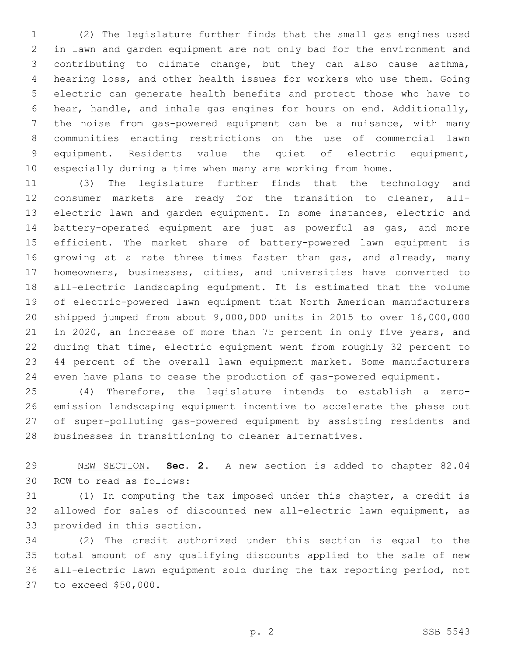(2) The legislature further finds that the small gas engines used in lawn and garden equipment are not only bad for the environment and contributing to climate change, but they can also cause asthma, hearing loss, and other health issues for workers who use them. Going electric can generate health benefits and protect those who have to hear, handle, and inhale gas engines for hours on end. Additionally, the noise from gas-powered equipment can be a nuisance, with many communities enacting restrictions on the use of commercial lawn equipment. Residents value the quiet of electric equipment, especially during a time when many are working from home.

 (3) The legislature further finds that the technology and consumer markets are ready for the transition to cleaner, all- electric lawn and garden equipment. In some instances, electric and battery-operated equipment are just as powerful as gas, and more efficient. The market share of battery-powered lawn equipment is 16 growing at a rate three times faster than gas, and already, many homeowners, businesses, cities, and universities have converted to all-electric landscaping equipment. It is estimated that the volume of electric-powered lawn equipment that North American manufacturers shipped jumped from about 9,000,000 units in 2015 to over 16,000,000 in 2020, an increase of more than 75 percent in only five years, and during that time, electric equipment went from roughly 32 percent to 44 percent of the overall lawn equipment market. Some manufacturers even have plans to cease the production of gas-powered equipment.

 (4) Therefore, the legislature intends to establish a zero- emission landscaping equipment incentive to accelerate the phase out of super-polluting gas-powered equipment by assisting residents and businesses in transitioning to cleaner alternatives.

 NEW SECTION. **Sec. 2.** A new section is added to chapter 82.04 30 RCW to read as follows:

 (1) In computing the tax imposed under this chapter, a credit is allowed for sales of discounted new all-electric lawn equipment, as 33 provided in this section.

 (2) The credit authorized under this section is equal to the total amount of any qualifying discounts applied to the sale of new all-electric lawn equipment sold during the tax reporting period, not 37 to exceed \$50,000.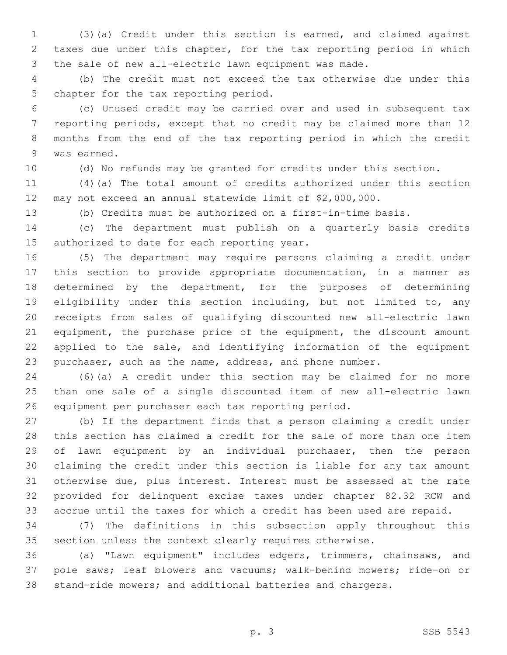(3)(a) Credit under this section is earned, and claimed against taxes due under this chapter, for the tax reporting period in which the sale of new all-electric lawn equipment was made.

 (b) The credit must not exceed the tax otherwise due under this 5 chapter for the tax reporting period.

 (c) Unused credit may be carried over and used in subsequent tax reporting periods, except that no credit may be claimed more than 12 months from the end of the tax reporting period in which the credit 9 was earned.

(d) No refunds may be granted for credits under this section.

 (4)(a) The total amount of credits authorized under this section may not exceed an annual statewide limit of \$2,000,000.

(b) Credits must be authorized on a first-in-time basis.

 (c) The department must publish on a quarterly basis credits 15 authorized to date for each reporting year.

 (5) The department may require persons claiming a credit under this section to provide appropriate documentation, in a manner as determined by the department, for the purposes of determining eligibility under this section including, but not limited to, any receipts from sales of qualifying discounted new all-electric lawn equipment, the purchase price of the equipment, the discount amount 22 applied to the sale, and identifying information of the equipment purchaser, such as the name, address, and phone number.

 (6)(a) A credit under this section may be claimed for no more than one sale of a single discounted item of new all-electric lawn equipment per purchaser each tax reporting period.

 (b) If the department finds that a person claiming a credit under this section has claimed a credit for the sale of more than one item of lawn equipment by an individual purchaser, then the person claiming the credit under this section is liable for any tax amount otherwise due, plus interest. Interest must be assessed at the rate provided for delinquent excise taxes under chapter 82.32 RCW and accrue until the taxes for which a credit has been used are repaid.

 (7) The definitions in this subsection apply throughout this section unless the context clearly requires otherwise.

 (a) "Lawn equipment" includes edgers, trimmers, chainsaws, and pole saws; leaf blowers and vacuums; walk-behind mowers; ride-on or stand-ride mowers; and additional batteries and chargers.